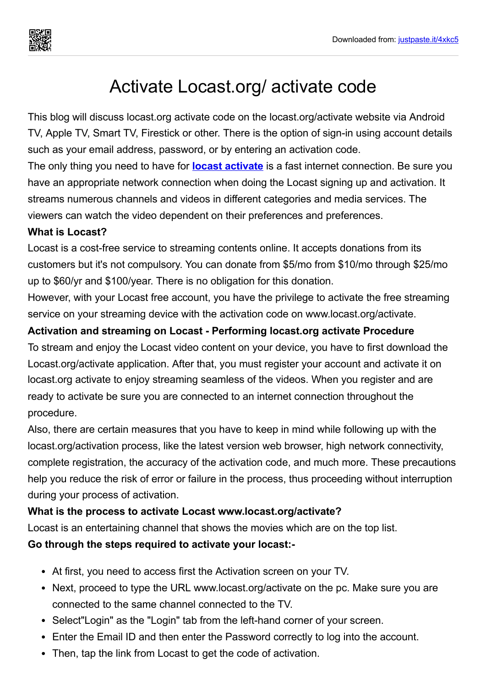

# Activate Locast.org/ activate code

This blog will discuss locast.org activate code on the locast.org/activate website via Android TV, Apple TV, Smart TV, Firestick or other. There is the option of sign-in using account details such as your email address, password, or by entering an activation code.

The only thing you need to have for **locast [activate](https://justpaste.it/redirect/4xkc5/https://locastorgactivate.com/)** is a fast internet connection. Be sure you have an appropriate network connection when doing the Locast signing up and activation. It streams numerous channels and videos in different categories and media services. The viewers can watch the video dependent on their preferences and preferences.

#### **What is Locast?**

Locast is a cost-free service to streaming contents online. It accepts donations from its customers but it's not compulsory. You can donate from \$5/mo from \$10/mo through \$25/mo up to \$60/yr and \$100/year. There is no obligation for this donation.

However, with your Locast free account, you have the privilege to activate the free streaming service on your streaming device with the activation code on www.locast.org/activate.

#### **Activation and streaming on Locast - Performing locast.org activate Procedure**

To stream and enjoy the Locast video content on your device, you have to first download the Locast.org/activate application. After that, you must register your account and activate it on locast.org activate to enjoy streaming seamless of the videos. When you register and are ready to activate be sure you are connected to an internet connection throughout the procedure.

Also, there are certain measures that you have to keep in mind while following up with the locast.org/activation process, like the latest version web browser, high network connectivity, complete registration, the accuracy of the activation code, and much more. These precautions help you reduce the risk of error or failure in the process, thus proceeding without interruption during your process of activation.

#### **What is the process to activate Locast www.locast.org/activate?**

Locast is an entertaining channel that shows the movies which are on the top list.

#### **Go through the steps required to activate your locast:-**

- At first, you need to access first the Activation screen on your TV.
- Next, proceed to type the URL www.locast.org/activate on the pc. Make sure you are connected to the same channel connected to the TV.
- Select"Login" as the "Login" tab from the left-hand corner of your screen.
- Enter the Email ID and then enter the Password correctly to log into the account.
- Then, tap the link from Locast to get the code of activation.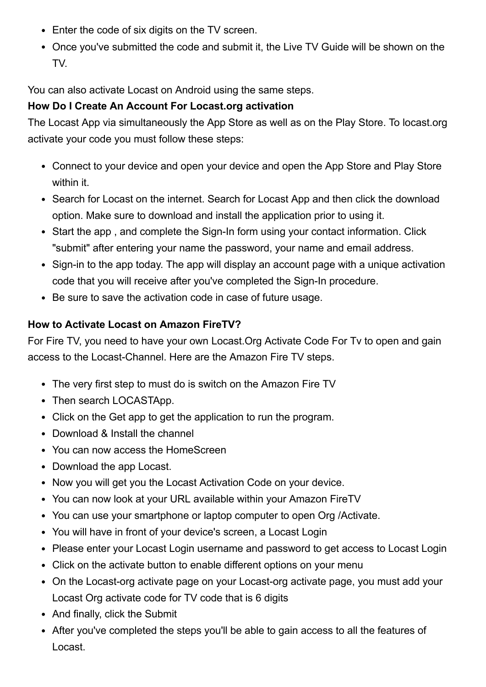- Enter the code of six digits on the TV screen.
- Once you've submitted the code and submit it, the Live TV Guide will be shown on the TV.

You can also activate Locast on Android using the same steps.

# **How Do I Create An Account For Locast.org activation**

The Locast App via simultaneously the App Store as well as on the Play Store. To locast.org activate your code you must follow these steps:

- Connect to your device and open your device and open the App Store and Play Store within it.
- Search for Locast on the internet. Search for Locast App and then click the download option. Make sure to download and install the application prior to using it.
- Start the app, and complete the Sign-In form using your contact information. Click "submit" after entering your name the password, your name and email address.
- Sign-in to the app today. The app will display an account page with a unique activation code that you will receive after you've completed the Sign-In procedure.
- Be sure to save the activation code in case of future usage.

#### **How to Activate Locast on Amazon FireTV?**

For Fire TV, you need to have your own Locast.Org Activate Code For Tv to open and gain access to the Locast-Channel. Here are the Amazon Fire TV steps.

- The very first step to must do is switch on the Amazon Fire TV
- Then search LOCASTApp.
- Click on the Get app to get the application to run the program.
- Download & Install the channel
- You can now access the HomeScreen
- Download the app Locast.
- Now you will get you the Locast Activation Code on your device.
- You can now look at your URL available within your Amazon FireTV
- You can use your smartphone or laptop computer to open Org /Activate.
- You will have in front of your device's screen, a Locast Login
- Please enter your Locast Login username and password to get access to Locast Login
- Click on the activate button to enable different options on your menu
- On the Locast-org activate page on your Locast-org activate page, you must add your Locast Org activate code for TV code that is 6 digits
- And finally, click the Submit
- After you've completed the steps you'll be able to gain access to all the features of Locast.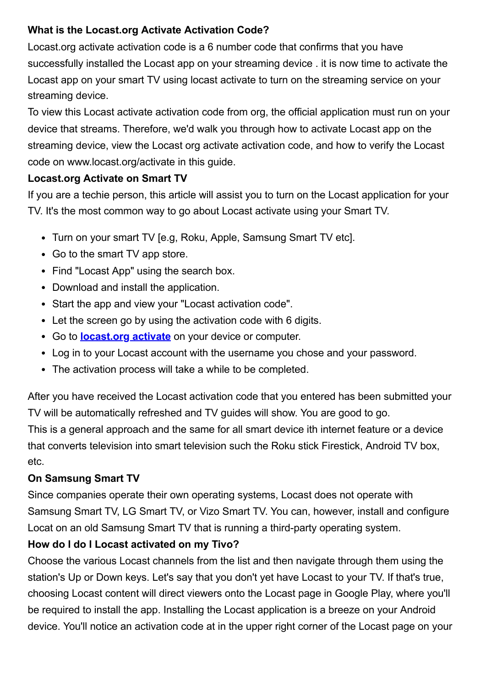# **What is the Locast.org Activate Activation Code?**

Locast.org activate activation code is a 6 number code that confirms that you have successfully installed the Locast app on your streaming device . it is now time to activate the Locast app on your smart TV using locast activate to turn on the streaming service on your streaming device.

To view this Locast activate activation code from org, the official application must run on your device that streams. Therefore, we'd walk you through how to activate Locast app on the streaming device, view the Locast org activate activation code, and how to verify the Locast code on www.locast.org/activate in this guide.

#### **Locast.org Activate on Smart TV**

If you are a techie person, this article will assist you to turn on the Locast application for your TV. It's the most common way to go about Locast activate using your Smart TV.

- Turn on your smart TV [e.g. Roku, Apple, Samsung Smart TV etc].
- Go to the smart TV app store.
- Find "Locast App" using the search box.
- Download and install the application.
- Start the app and view your "Locast activation code".
- Let the screen go by using the activation code with 6 digits.
- Go to **[locast.org](https://justpaste.it/redirect/4xkc5/https://locastorgactivate.com/) activate** on your device or computer.
- Log in to your Locast account with the username you chose and your password.
- The activation process will take a while to be completed.

After you have received the Locast activation code that you entered has been submitted your TV will be automatically refreshed and TV guides will show. You are good to go.

This is a general approach and the same for all smart device ith internet feature or a device that converts television into smart television such the Roku stick Firestick, Android TV box, etc.

# **On Samsung Smart TV**

Since companies operate their own operating systems, Locast does not operate with Samsung Smart TV, LG Smart TV, or Vizo Smart TV. You can, however, install and configure Locat on an old Samsung Smart TV that is running a third-party operating system.

# **How do I do I Locast activated on my Tivo?**

Choose the various Locast channels from the list and then navigate through them using the station's Up or Down keys. Let's say that you don't yet have Locast to your TV. If that's true, choosing Locast content will direct viewers onto the Locast page in Google Play, where you'll be required to install the app. Installing the Locast application is a breeze on your Android device. You'll notice an activation code at in the upper right corner of the Locast page on your